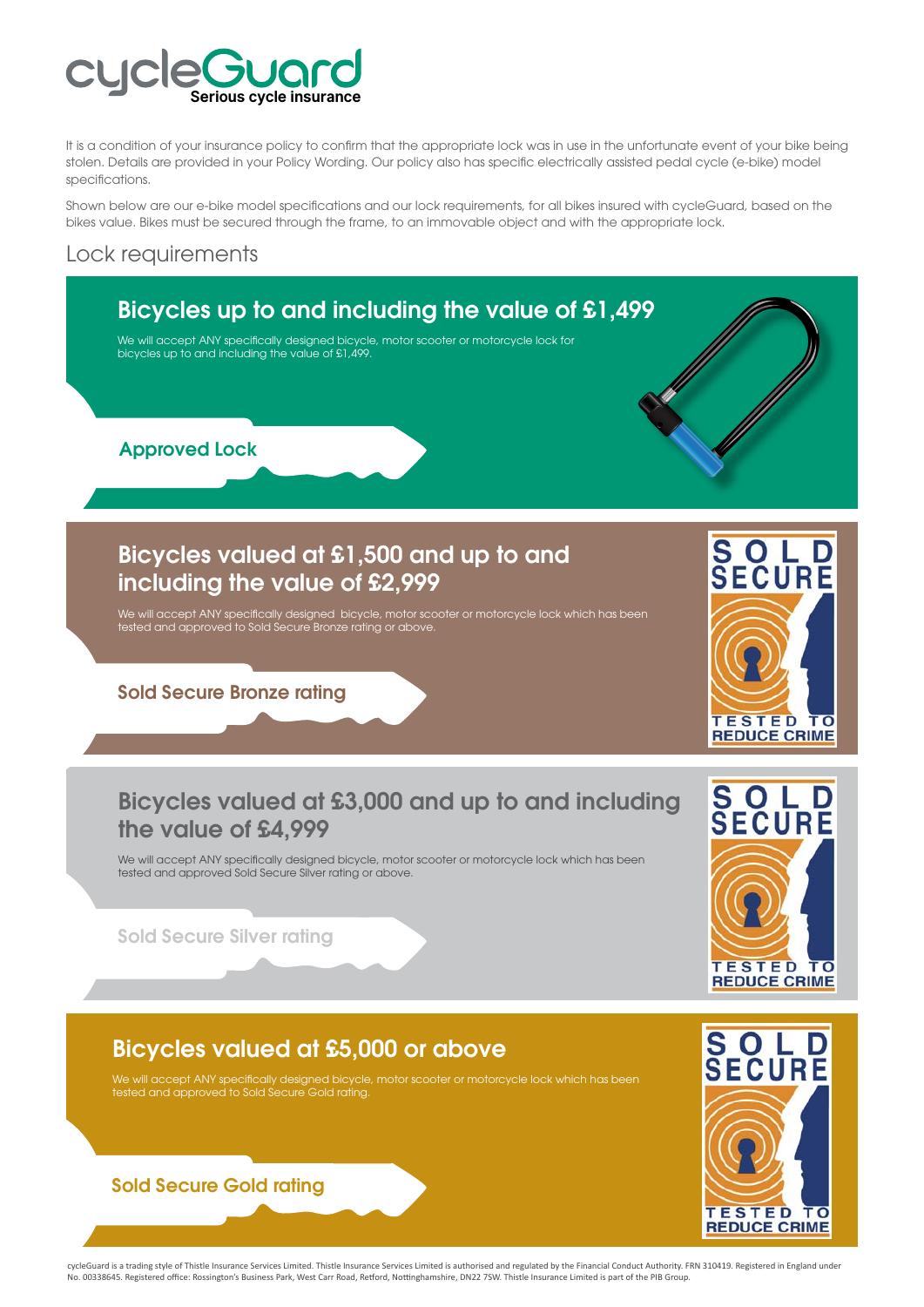

It is a condition of your insurance policy to confirm that the appropriate lock was in use in the unfortunate event of your bike being stolen. Details are provided in your Policy Wording. Our policy also has specific electrically assisted pedal cycle (e-bike) model specifications.

Shown below are our e-bike model specifications and our lock requirements, for all bikes insured with cycleGuard, based on the bikes value. Bikes must be secured through the frame, to an immovable object and with the appropriate lock.

## Lock requirements



cycleGuard is a trading style of Thistle Insurance Services Limited. Thistle Insurance Services Limited is authorised and regulated by the Financial Conduct Authority. FRN 310419. Registered in England under No. 00338645. Registered office: Rossington's Business Park, West Carr Road, Retford, Nottinghamshire, DN22 7SW. Thistle Insurance Limited is part of the PIB Group.

**TESTED** 

**REDUCE CRIME** 

ΤO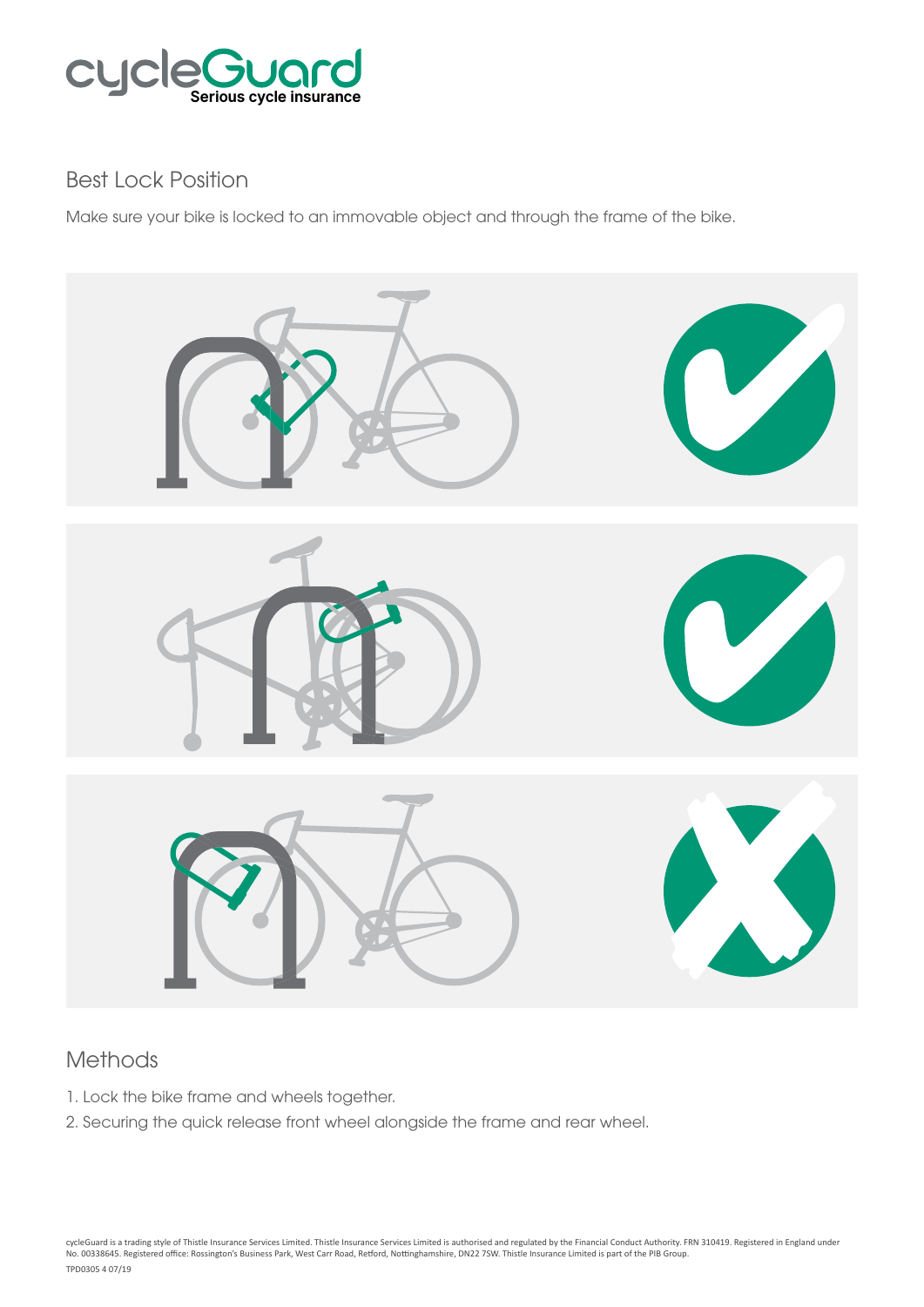

## Best Lock Position

Make sure your bike is locked to an immovable object and through the frame of the bike.



## Methods

- 1. Lock the bike frame and wheels together.
- 2. Securing the quick release front wheel alongside the frame and rear wheel.

cycleGuard is a trading style of Thistle Insurance Services Limited. Thistle Insurance Services Limited is authorised and regulated by the Financial Conduct Authority. FRN 310419. Registered in England under No. 00338645. Registered office: Rossington's Business Park, West Carr Road, Retford, Nottinghamshire, DN22 7SW. Thistle Insurance Limited is part of the PIB Group. TPD0305 4 07/19